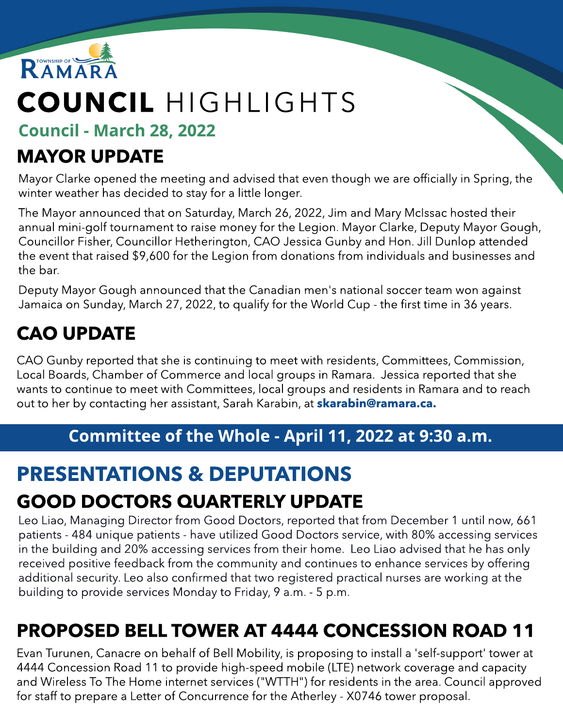

# COUNCIL HIGHLIGHTS

Council - March 28, 2022

### MAYOR UPDATE

Mayor Clarke opened the meeting and advised that even though we are officially in Spring, the winter weather has decided to stay for a little longer.

The Mayor announced that on Saturday, March 26, 2022, Jim and Mary McIssac hosted their annual mini-golf tournament to raise money for the Legion. Mayor Clarke, Deputy Mayor Gough, Councillor Fisher, Councillor Hetherington, CAO Jessica Gunby and Hon. Jill Dunlop attended the event that raised \$9,600 for the Legion from donations from individuals and businesses and the bar.

Deputy Mayor Gough announced that the Canadian men's national soccer team won against Jamaica on Sunday, March 27, 2022, to qualify for the World Cup - the first time in 36 years.

# CAO UPDATE

CAO Gunby reported that she is continuing to meet with residents, Committees, Commission, Local Boards, Chamber of Commerce and local groups in Ramara. Jessica reported that she wants to continue to meet with Committees, local groups and residents in Ramara and to reach out to her by contacting her assistant, Sarah Karabin, at **[skarabin@ramara.ca.](mailto:skarabin@ramara.ca)** 

#### Committee of the Whole - April 11, 2022 at 9:30 a.m.

# PRESENTATIONS & DEPUTATIONS

# GOOD DOCTORS QUARTERLY UPDATE

Leo Liao, Managing Director from Good Doctors, reported that from December 1 until now, 661 patients - 484 unique patients - have utilized Good Doctors service, with 80% accessing services in the building and 20% accessing services from their home. Leo Liao advised that he has only received positive feedback from the community and continues to enhance services by offering additional security. Leo also confirmed that two registered practical nurses are working at the building to provide services Monday to Friday, 9 a.m. - 5 p.m.

# PROPOSED BELL TOWER AT 4444 CONCESSION ROAD 11

Evan Turunen, Canacre on behalf of Bell Mobility, is proposing to install a 'self-support' tower at 4444 Concession Road 11 to provide high-speed mobile (LTE) network coverage and capacity and Wireless To The Home internet services ("WTTH") for residents in the area. Council approved for staff to prepare a Letter of Concurrence for the Atherley - X0746 tower proposal.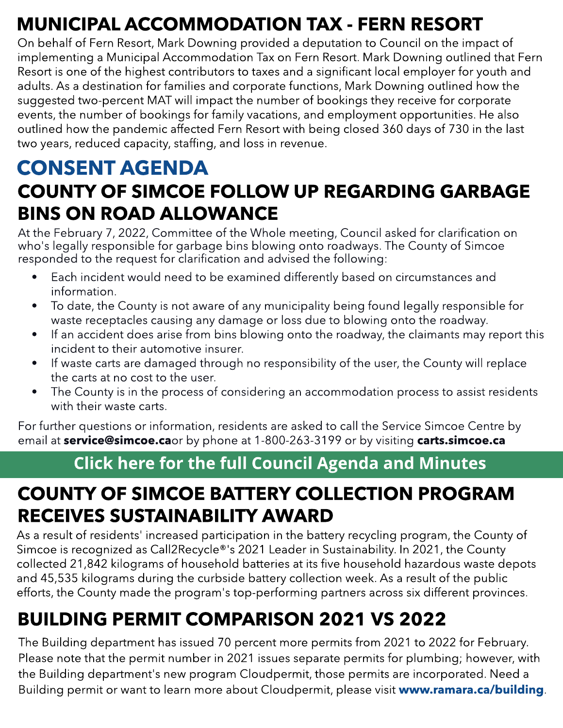# MUNICIPAL ACCOMMODATION TAX - FERN RESORT

On behalf of Fern Resort, Mark Downing provided a deputation to Council on the impact of implementing a Municipal Accommodation Tax on Fern Resort. Mark Downing outlined that Fern Resort is one of the highest contributors to taxes and a significant local employer for youth and adults. As a destination for families and corporate functions, Mark Downing outlined how the suggested two-percent MAT will impact the number of bookings they receive for corporate events, the number of bookings for family vacations, and employment opportunities. He also outlined how the pandemic affected Fern Resort with being closed 360 days of 730 in the last two years, reduced capacity, staffing, and loss in revenue.

### COUNTY OF SIMCOE FOLLOW UP REGARDING GARBAGE BINS ON ROAD ALLOWANCE CONSENT AGENDA

At the February 7, 2022, Committee of the Whole meeting, Council asked for clarification on who's legally responsible for garbage bins blowing onto roadways. The County of Simcoe responded to the request for clarification and advised the following:

- Each incident would need to be examined differently based on circumstances and information.
- To date, the County is not aware of any municipality being found legally responsible for waste receptacles causing any damage or loss due to blowing onto the roadway.
- If an accident does arise from bins blowing onto the roadway, the claimants may report this incident to their automotive insurer.
- If waste carts are damaged through no responsibility of the user, the County will replace the carts at no cost to the user.
- The County is in the process of considering an accommodation process to assist residents with their waste carts.

For further questions or information, residents are asked to call the Service Simcoe Centre<br>email at **service@simcoe.ca**or by phone at 1-800-263-3199 or by visiting **carts.simcoe.ca** For further questions or information, residents are asked to call the Service Simcoe Centre by

#### [Click](https://ramara.civicweb.net/portal/) [here](https://ramara.civicweb.net/portal/) [for](https://ramara.civicweb.net/portal/) t[he](https://ramara.civicweb.net/portal/) [full](https://ramara.civicweb.net/portal/) [Council](https://ramara.civicweb.net/portal/) [Agenda](https://ramara.civicweb.net/portal/) [and](https://ramara.civicweb.net/portal/) [Minut](https://ramara.civicweb.net/portal/)es

### COUNTY OF SIMCOE BATTERY COLLECTION PROGRAM RECEIVES SUSTAINABILITY AWARD

As a result of residents' increased participation in the battery recycling program, the County of Simcoe is recognized as Call2Recycle®'s 2021 Leader in Sustainability. In 2021, the County collected 21,842 kilograms of household batteries at its five household hazardous waste depots and 45,535 kilograms during the curbside battery collection week. As a result of the public efforts, the County made the program's top-performing partners across six different provinces.

# BUILDING PERMIT COMPARISON 2021 VS 2022

The Building department has issued 70 percent more permits from 2021 to 2022 for February. Please note that the permit number in 2021 issues separate permits for plumbing; however, with the Building department's new program Cloudpermit, those permits are incorporated. Need a Building permit or want to learn more about Cloudpermit, please visit ww[w.ramara.ca/building](http://www.ramara.ca/building).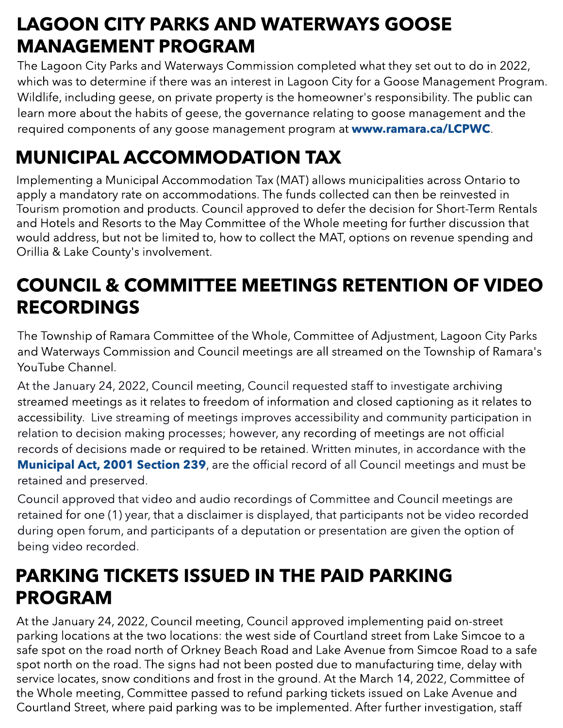# LAGOON CITY PARKS AND WATERWAYS GOOSE MANAGEMENT PROGRAM

The Lagoon City Parks and Waterways Commission completed what they set out to do in 2022, which was to determine if there was an interest in Lagoon City for a Goose Management Program. Wildlife, including geese, on private property is the homeowner's responsibility. The public can learn more about the habits of geese, the governance relating to goose management and the required components of any goose management program at **ww[w.ramara.ca/LCPWC](http://www.ramara.ca/LCPWC)**.

# MUNICIPAL ACCOMMODATION TAX

Implementing a Municipal Accommodation Tax (MAT) allows municipalities across Ontario to apply a mandatory rate on accommodations. The funds collected can then be reinvested in Tourism promotion and products. Council approved to defer the decision for Short-Term Rentals and Hotels and Resorts to the May Committee of the Whole meeting for further discussion that would address, but not be limited to, how to collect the MAT, options on revenue spending and Orillia & Lake County's involvement.

### COUNCIL & COMMITTEE MEETINGS RETENTION OF VIDEO RECORDINGS

The Township of Ramara Committee of the Whole, Committee of Adjustment, Lagoon City Parks and Waterways Commission and Council meetings are all streamed on the Township of Ramara's YouTube Channel.

relation to decision making processes; however, any recording of meetings are not official At the January 24, 2022, Council meeting, Council requested staff to investigate archiving streamed meetings as it relates to freedom of information and closed captioning as it relates to accessibility. Live streaming of meetings improves accessibility and community participation in records of decisions made or required to be retained. Written minutes, in accordance with the **[Municipal](https://www.ontario.ca/laws/statute/01m25#top) [Act,](https://www.ontario.ca/laws/statute/01m25#top) [2001](https://www.ontario.ca/laws/statute/01m25#top) [Section](https://www.ontario.ca/laws/statute/01m25#top) [239](https://www.ontario.ca/laws/statute/01m25#top)**, are the official record of all Council meetings and must be retained and preserved.

Council approved that video and audio recordings of Committee and Council meetings are retained for one (1) year, that a disclaimer is displayed, that participants not be video recorded during open forum, and participants of a deputation or presentation are given the option of being video recorded.

#### PARKING TICKETS ISSUED IN THE PAID PARKING PROGRAM

At the January 24, 2022, Council meeting, Council approved implementing paid on-street parking locations at the two locations: the west side of Courtland street from Lake Simcoe to a safe spot on the road north of Orkney Beach Road and Lake Avenue from Simcoe Road to a safe spot north on the road. The signs had not been posted due to manufacturing time, delay with service locates, snow conditions and frost in the ground. At the March 14, 2022, Committee of the Whole meeting, Committee passed to refund parking tickets issued on Lake Avenue and Courtland Street, where paid parking was to be implemented. After further investigation, staff